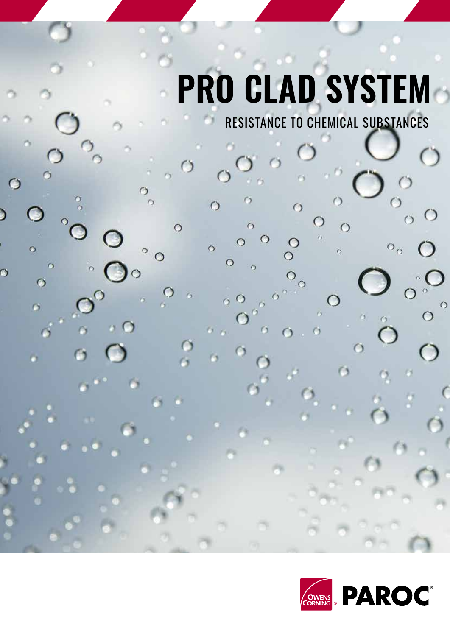## **PRO CLAD SYSTEM**

 $\circ$ 

 $\circ$ 

 $\circ$ 

O

 $\bigcirc$ 

 $\circ$ 

 $\bullet$ 

D

O

 $\circ$ 

 $\ddot{\circ}$ 

 $\bullet$ 

 $\circ$ 

 $\bullet$ 

 $\circ$ 

 $\circ$ 

 $\circ$ 

 $\circ$ 

 $\circ$ 

C

 $\sigma$ 

 $\circ$ 

 $r_3$ 

 $\circ$ 

ą

 $\circ$ 

 $\circ$ 

 $\odot$ 

 $\ddot{\circ}$ 

 $\circ$ 

 $\circ$  $\ddot{\circ}$ 

 $\circ$ 

 $\circ$ 

RESISTANCE TO CHEMICAL SUBSTANCES

 $\circ$ 

 $\circ$ 

 $\circ$ 

 $\bigcirc$ 

 $\circ$ 

 $\tilde{r}_3$ 

 $\bigcap$ 

 $\bigcirc$ 

 $\overline{\circ}_{\circ}$ 

Э

 $\circ$ 

 $\circ$ 

 $\circ$ 

 $\circ$ 

О

 $\circ$ 

 $\Box$ 

 $\supset$ 

 $\circ$